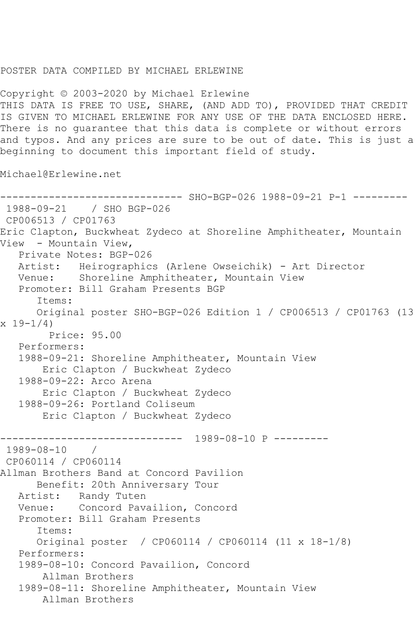## POSTER DATA COMPILED BY MICHAEL ERLEWINE

Copyright © 2003-2020 by Michael Erlewine THIS DATA IS FREE TO USE, SHARE, (AND ADD TO), PROVIDED THAT CREDIT IS GIVEN TO MICHAEL ERLEWINE FOR ANY USE OF THE DATA ENCLOSED HERE. There is no guarantee that this data is complete or without errors and typos. And any prices are sure to be out of date. This is just a beginning to document this important field of study.

Michael@Erlewine.net

```
------------------------------ SHO-BGP-026 1988-09-21 P-1 ---------
1988-09-21 / SHO BGP-026
CP006513 / CP01763
Eric Clapton, Buckwheat Zydeco at Shoreline Amphitheater, Mountain 
View - Mountain View,
   Private Notes: BGP-026
   Artist: Heirographics (Arlene Owseichik) - Art Director
   Venue: Shoreline Amphitheater, Mountain View
   Promoter: Bill Graham Presents BGP
       Items:
       Original poster SHO-BGP-026 Edition 1 / CP006513 / CP01763 (13 
x 19-1/4 Price: 95.00
   Performers:
   1988-09-21: Shoreline Amphitheater, Mountain View
        Eric Clapton / Buckwheat Zydeco
    1988-09-22: Arco Arena
        Eric Clapton / Buckwheat Zydeco
    1988-09-26: Portland Coliseum
        Eric Clapton / Buckwheat Zydeco
   ------------------------------ 1989-08-10 P ---------
1989 - 08 - 10CP060114 / CP060114
Allman Brothers Band at Concord Pavilion
       Benefit: 20th Anniversary Tour
  Artist: Randy Tuten<br>Venue: Concord Pava
            Concord Pavailion, Concord
    Promoter: Bill Graham Presents
       Items:
       Original poster / CP060114 / CP060114 (11 x 18-1/8)
   Performers:
   1989-08-10: Concord Pavailion, Concord
        Allman Brothers
    1989-08-11: Shoreline Amphitheater, Mountain View
        Allman Brothers
```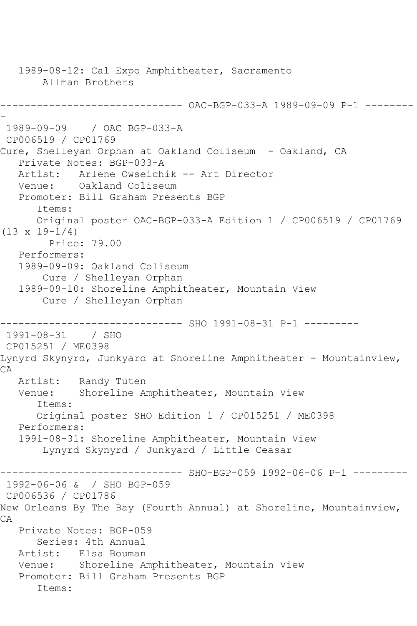1989-08-12: Cal Expo Amphitheater, Sacramento Allman Brothers ------------------------------ OAC-BGP-033-A 1989-09-09 P-1 -------- - 1989-09-09 / OAC BGP-033-A CP006519 / CP01769 Cure, Shelleyan Orphan at Oakland Coliseum - Oakland, CA Private Notes: BGP-033-A Artist: Arlene Owseichik -- Art Director<br>Venue: Oakland Coliseum Oakland Coliseum Promoter: Bill Graham Presents BGP Items: Original poster OAC-BGP-033-A Edition 1 / CP006519 / CP01769 (13 x 19-1/4) Price: 79.00 Performers: 1989-09-09: Oakland Coliseum Cure / Shelleyan Orphan 1989-09-10: Shoreline Amphitheater, Mountain View Cure / Shelleyan Orphan ------------------------------ SHO 1991-08-31 P-1 --------- 1991-08-31 / SHO CP015251 / ME0398 Lynyrd Skynyrd, Junkyard at Shoreline Amphitheater - Mountainview, CA Artist: Randy Tuten<br>Venue: Shoreline Am Shoreline Amphitheater, Mountain View Items: Original poster SHO Edition 1 / CP015251 / ME0398 Performers: 1991-08-31: Shoreline Amphitheater, Mountain View Lynyrd Skynyrd / Junkyard / Little Ceasar ------------------------------ SHO-BGP-059 1992-06-06 P-1 --------- 1992-06-06 & / SHO BGP-059 CP006536 / CP01786 New Orleans By The Bay (Fourth Annual) at Shoreline, Mountainview, CA Private Notes: BGP-059 Series: 4th Annual Artist: Elsa Bouman Venue: Shoreline Amphitheater, Mountain View Promoter: Bill Graham Presents BGP Items: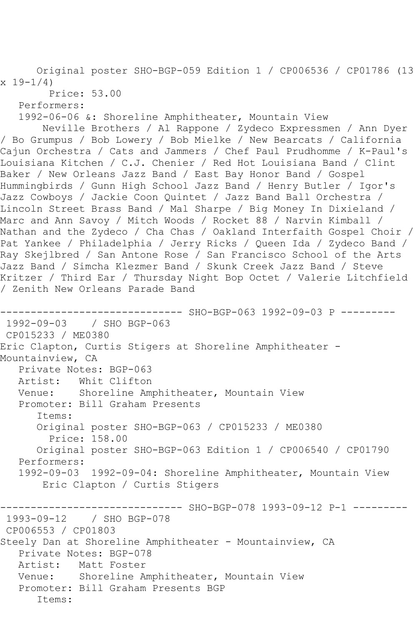Original poster SHO-BGP-059 Edition 1 / CP006536 / CP01786 (13  $x 19 - 1/4$ 

Price: 53.00

Performers:

1992-06-06 &: Shoreline Amphitheater, Mountain View

 Neville Brothers / Al Rappone / Zydeco Expressmen / Ann Dyer / Bo Grumpus / Bob Lowery / Bob Mielke / New Bearcats / California Cajun Orchestra / Cats and Jammers / Chef Paul Prudhomme / K-Paul's Louisiana Kitchen / C.J. Chenier / Red Hot Louisiana Band / Clint Baker / New Orleans Jazz Band / East Bay Honor Band / Gospel Hummingbirds / Gunn High School Jazz Band / Henry Butler / Igor's Jazz Cowboys / Jackie Coon Quintet / Jazz Band Ball Orchestra / Lincoln Street Brass Band / Mal Sharpe / Big Money In Dixieland / Marc and Ann Savoy / Mitch Woods / Rocket 88 / Narvin Kimball / Nathan and the Zydeco / Cha Chas / Oakland Interfaith Gospel Choir / Pat Yankee / Philadelphia / Jerry Ricks / Queen Ida / Zydeco Band / Ray Skejlbred / San Antone Rose / San Francisco School of the Arts Jazz Band / Simcha Klezmer Band / Skunk Creek Jazz Band / Steve Kritzer / Third Ear / Thursday Night Bop Octet / Valerie Litchfield / Zenith New Orleans Parade Band

----------- SHO-BGP-063 1992-09-03 P ---------1992-09-03 / SHO BGP-063 CP015233 / ME0380 Eric Clapton, Curtis Stigers at Shoreline Amphitheater - Mountainview, CA Private Notes: BGP-063 Artist: Whit Clifton Venue: Shoreline Amphitheater, Mountain View Promoter: Bill Graham Presents Items: Original poster SHO-BGP-063 / CP015233 / ME0380 Price: 158.00 Original poster SHO-BGP-063 Edition 1 / CP006540 / CP01790 Performers: 1992-09-03 1992-09-04: Shoreline Amphitheater, Mountain View Eric Clapton / Curtis Stigers ------------------------------ SHO-BGP-078 1993-09-12 P-1 --------- 1993-09-12 / SHO BGP-078 CP006553 / CP01803 Steely Dan at Shoreline Amphitheater - Mountainview, CA Private Notes: BGP-078 Artist: Matt Foster Venue: Shoreline Amphitheater, Mountain View Promoter: Bill Graham Presents BGP Items: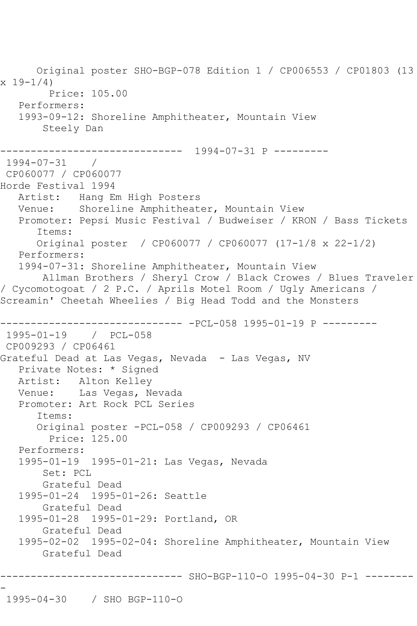Original poster SHO-BGP-078 Edition 1 / CP006553 / CP01803 (13  $x 19 - 1/4$  Price: 105.00 Performers: 1993-09-12: Shoreline Amphitheater, Mountain View Steely Dan ------------------------------ 1994-07-31 P --------- 1994-07-31 / CP060077 / CP060077 Horde Festival 1994 Artist: Hang Em High Posters Venue: Shoreline Amphitheater, Mountain View Promoter: Pepsi Music Festival / Budweiser / KRON / Bass Tickets Items: Original poster / CP060077 / CP060077 (17-1/8 x 22-1/2) Performers: 1994-07-31: Shoreline Amphitheater, Mountain View Allman Brothers / Sheryl Crow / Black Crowes / Blues Traveler / Cycomotogoat / 2 P.C. / Aprils Motel Room / Ugly Americans / Screamin' Cheetah Wheelies / Big Head Todd and the Monsters ------------------------------ -PCL-058 1995-01-19 P --------- 1995-01-19 / PCL-058 CP009293 / CP06461 Grateful Dead at Las Vegas, Nevada - Las Vegas, NV Private Notes: \* Signed Artist: Alton Kelley Venue: Las Vegas, Nevada Promoter: Art Rock PCL Series Items: Original poster -PCL-058 / CP009293 / CP06461 Price: 125.00 Performers: 1995-01-19 1995-01-21: Las Vegas, Nevada Set: PCL Grateful Dead 1995-01-24 1995-01-26: Seattle Grateful Dead 1995-01-28 1995-01-29: Portland, OR Grateful Dead 1995-02-02 1995-02-04: Shoreline Amphitheater, Mountain View Grateful Dead ------------------------------ SHO-BGP-110-O 1995-04-30 P-1 -------- - 1995-04-30 / SHO BGP-110-O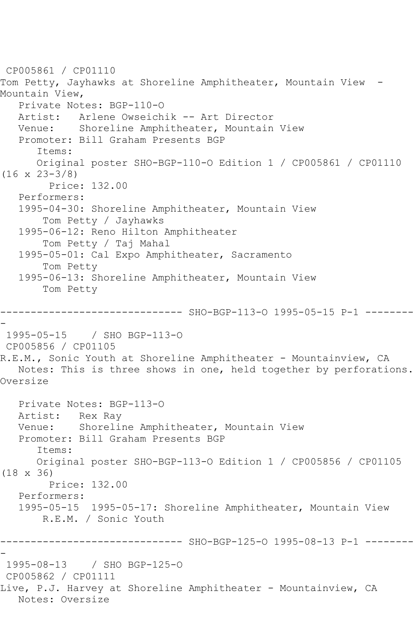CP005861 / CP01110 Tom Petty, Jayhawks at Shoreline Amphitheater, Mountain View - Mountain View, Private Notes: BGP-110-O Artist: Arlene Owseichik -- Art Director Venue: Shoreline Amphitheater, Mountain View Promoter: Bill Graham Presents BGP Items: Original poster SHO-BGP-110-O Edition 1 / CP005861 / CP01110 (16 x 23-3/8) Price: 132.00 Performers: 1995-04-30: Shoreline Amphitheater, Mountain View Tom Petty / Jayhawks 1995-06-12: Reno Hilton Amphitheater Tom Petty / Taj Mahal 1995-05-01: Cal Expo Amphitheater, Sacramento Tom Petty 1995-06-13: Shoreline Amphitheater, Mountain View Tom Petty ------------------------------ SHO-BGP-113-O 1995-05-15 P-1 -------- - 1995-05-15 / SHO BGP-113-O CP005856 / CP01105 R.E.M., Sonic Youth at Shoreline Amphitheater - Mountainview, CA Notes: This is three shows in one, held together by perforations. Oversize Private Notes: BGP-113-O Artist: Rex Ray Venue: Shoreline Amphitheater, Mountain View Promoter: Bill Graham Presents BGP Items: Original poster SHO-BGP-113-O Edition 1 / CP005856 / CP01105 (18 x 36) Price: 132.00 Performers: 1995-05-15 1995-05-17: Shoreline Amphitheater, Mountain View R.E.M. / Sonic Youth ------------------------------ SHO-BGP-125-O 1995-08-13 P-1 -------- - 1995-08-13 / SHO BGP-125-O CP005862 / CP01111 Live, P.J. Harvey at Shoreline Amphitheater - Mountainview, CA Notes: Oversize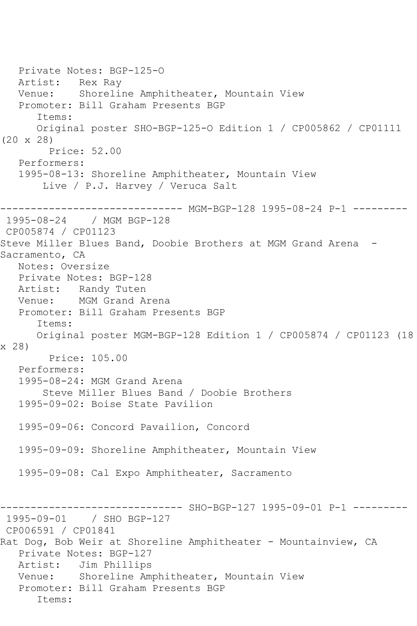Private Notes: BGP-125-O Artist: Rex Ray Venue: Shoreline Amphitheater, Mountain View Promoter: Bill Graham Presents BGP Items: Original poster SHO-BGP-125-O Edition 1 / CP005862 / CP01111 (20 x 28) Price: 52.00 Performers: 1995-08-13: Shoreline Amphitheater, Mountain View Live / P.J. Harvey / Veruca Salt ------------------------------ MGM-BGP-128 1995-08-24 P-1 --------- 1995-08-24 / MGM BGP-128 CP005874 / CP01123 Steve Miller Blues Band, Doobie Brothers at MGM Grand Arena - Sacramento, CA Notes: Oversize Private Notes: BGP-128 Artist: Randy Tuten Venue: MGM Grand Arena Promoter: Bill Graham Presents BGP Items: Original poster MGM-BGP-128 Edition 1 / CP005874 / CP01123 (18 x 28) Price: 105.00 Performers: 1995-08-24: MGM Grand Arena Steve Miller Blues Band / Doobie Brothers 1995-09-02: Boise State Pavilion 1995-09-06: Concord Pavailion, Concord 1995-09-09: Shoreline Amphitheater, Mountain View 1995-09-08: Cal Expo Amphitheater, Sacramento ------------------------------ SHO-BGP-127 1995-09-01 P-1 --------- 1995-09-01 / SHO BGP-127 CP006591 / CP01841 Rat Dog, Bob Weir at Shoreline Amphitheater - Mountainview, CA Private Notes: BGP-127 Artist: Jim Phillips Venue: Shoreline Amphitheater, Mountain View Promoter: Bill Graham Presents BGP Items: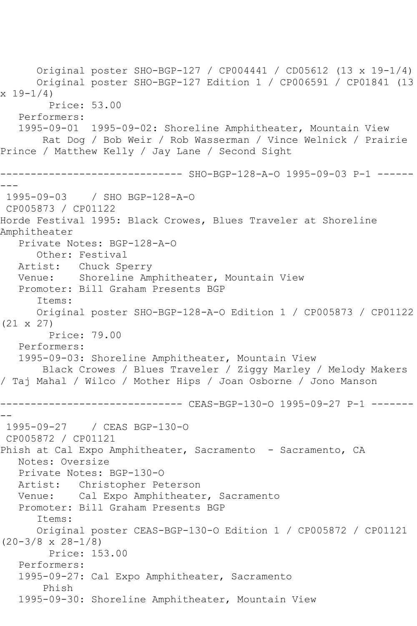Original poster SHO-BGP-127 / CP004441 / CD05612 (13 x 19-1/4) Original poster SHO-BGP-127 Edition 1 / CP006591 / CP01841 (13  $x 19 - 1/4$  Price: 53.00 Performers: 1995-09-01 1995-09-02: Shoreline Amphitheater, Mountain View Rat Dog / Bob Weir / Rob Wasserman / Vince Welnick / Prairie Prince / Matthew Kelly / Jay Lane / Second Sight ------------------------------ SHO-BGP-128-A-O 1995-09-03 P-1 ------  $- - -$ 1995-09-03 / SHO BGP-128-A-O CP005873 / CP01122 Horde Festival 1995: Black Crowes, Blues Traveler at Shoreline Amphitheater Private Notes: BGP-128-A-O Other: Festival Artist: Chuck Sperry Venue: Shoreline Amphitheater, Mountain View Promoter: Bill Graham Presents BGP Items: Original poster SHO-BGP-128-A-O Edition 1 / CP005873 / CP01122 (21 x 27) Price: 79.00 Performers: 1995-09-03: Shoreline Amphitheater, Mountain View Black Crowes / Blues Traveler / Ziggy Marley / Melody Makers / Taj Mahal / Wilco / Mother Hips / Joan Osborne / Jono Manson ------------------------------ CEAS-BGP-130-O 1995-09-27 P-1 ------- -- 1995-09-27 / CEAS BGP-130-O CP005872 / CP01121 Phish at Cal Expo Amphitheater, Sacramento - Sacramento, CA Notes: Oversize Private Notes: BGP-130-O Artist: Christopher Peterson Venue: Cal Expo Amphitheater, Sacramento Promoter: Bill Graham Presents BGP Items: Original poster CEAS-BGP-130-O Edition 1 / CP005872 / CP01121 (20-3/8 x 28-1/8) Price: 153.00 Performers: 1995-09-27: Cal Expo Amphitheater, Sacramento Phish 1995-09-30: Shoreline Amphitheater, Mountain View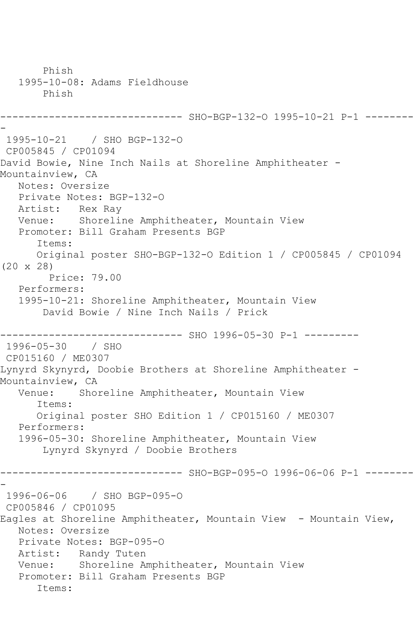Phish 1995-10-08: Adams Fieldhouse Phish ------------------------------ SHO-BGP-132-O 1995-10-21 P-1 -------- - 1995-10-21 / SHO BGP-132-O CP005845 / CP01094 David Bowie, Nine Inch Nails at Shoreline Amphitheater - Mountainview, CA Notes: Oversize Private Notes: BGP-132-O Artist: Rex Ray Venue: Shoreline Amphitheater, Mountain View Promoter: Bill Graham Presents BGP Items: Original poster SHO-BGP-132-O Edition 1 / CP005845 / CP01094 (20 x 28) Price: 79.00 Performers: 1995-10-21: Shoreline Amphitheater, Mountain View David Bowie / Nine Inch Nails / Prick ------------------------------ SHO 1996-05-30 P-1 --------- 1996-05-30 / SHO CP015160 / ME0307 Lynyrd Skynyrd, Doobie Brothers at Shoreline Amphitheater - Mountainview, CA Venue: Shoreline Amphitheater, Mountain View Items: Original poster SHO Edition 1 / CP015160 / ME0307 Performers: 1996-05-30: Shoreline Amphitheater, Mountain View Lynyrd Skynyrd / Doobie Brothers ------------------------------ SHO-BGP-095-O 1996-06-06 P-1 -------- - 1996-06-06 / SHO BGP-095-O CP005846 / CP01095 Eagles at Shoreline Amphitheater, Mountain View - Mountain View, Notes: Oversize Private Notes: BGP-095-O Artist: Randy Tuten Venue: Shoreline Amphitheater, Mountain View Promoter: Bill Graham Presents BGP Items: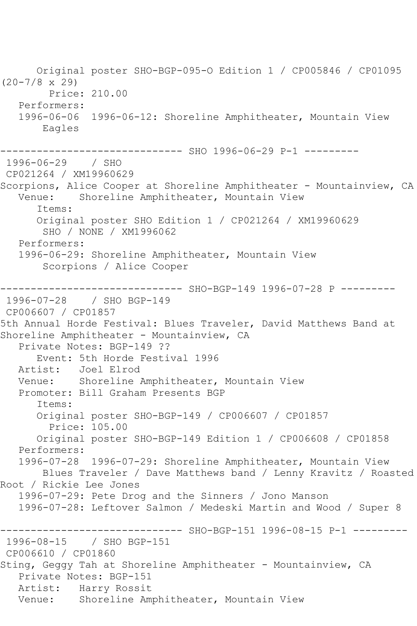Original poster SHO-BGP-095-O Edition 1 / CP005846 / CP01095 (20-7/8 x 29) Price: 210.00 Performers: 1996-06-06 1996-06-12: Shoreline Amphitheater, Mountain View Eagles ------------------------------ SHO 1996-06-29 P-1 --------- 1996-06-29 / SHO CP021264 / XM19960629 Scorpions, Alice Cooper at Shoreline Amphitheater - Mountainview, CA Venue: Shoreline Amphitheater, Mountain View Items: Original poster SHO Edition 1 / CP021264 / XM19960629 SHO / NONE / XM1996062 Performers: 1996-06-29: Shoreline Amphitheater, Mountain View Scorpions / Alice Cooper ------------------------------ SHO-BGP-149 1996-07-28 P --------- 1996-07-28 / SHO BGP-149 CP006607 / CP01857 5th Annual Horde Festival: Blues Traveler, David Matthews Band at Shoreline Amphitheater - Mountainview, CA Private Notes: BGP-149 ?? Event: 5th Horde Festival 1996<br>Artist: Joel Elrod Artist: Joel Elrod Venue: Shoreline Amphitheater, Mountain View Promoter: Bill Graham Presents BGP Items: Original poster SHO-BGP-149 / CP006607 / CP01857 Price: 105.00 Original poster SHO-BGP-149 Edition 1 / CP006608 / CP01858 Performers: 1996-07-28 1996-07-29: Shoreline Amphitheater, Mountain View Blues Traveler / Dave Matthews band / Lenny Kravitz / Roasted Root / Rickie Lee Jones 1996-07-29: Pete Drog and the Sinners / Jono Manson 1996-07-28: Leftover Salmon / Medeski Martin and Wood / Super 8 ------ SHO-BGP-151 1996-08-15 P-1 ---------1996-08-15 / SHO BGP-151 CP006610 / CP01860 Sting, Geggy Tah at Shoreline Amphitheater - Mountainview, CA Private Notes: BGP-151 Artist: Harry Rossit Venue: Shoreline Amphitheater, Mountain View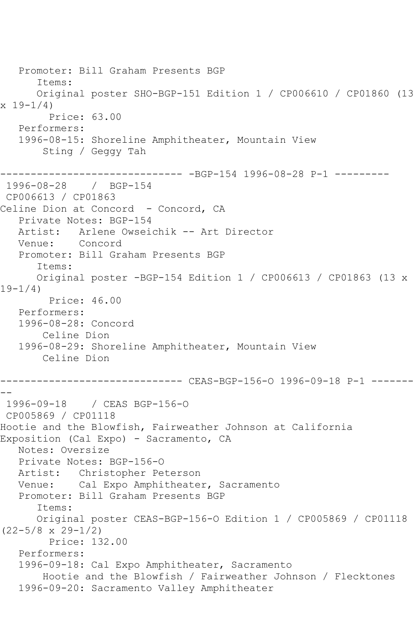Promoter: Bill Graham Presents BGP Items: Original poster SHO-BGP-151 Edition 1 / CP006610 / CP01860 (13  $x 19-1/4$  Price: 63.00 Performers: 1996-08-15: Shoreline Amphitheater, Mountain View Sting / Geggy Tah ------------------------------ -BGP-154 1996-08-28 P-1 --------- 1996-08-28 / BGP-154 CP006613 / CP01863 Celine Dion at Concord - Concord, CA Private Notes: BGP-154 Artist: Arlene Owseichik -- Art Director Venue: Concord Promoter: Bill Graham Presents BGP Items: Original poster -BGP-154 Edition 1 / CP006613 / CP01863 (13 x 19-1/4) Price: 46.00 Performers: 1996-08-28: Concord Celine Dion 1996-08-29: Shoreline Amphitheater, Mountain View Celine Dion ------------------------------ CEAS-BGP-156-O 1996-09-18 P-1 ------- -- 1996-09-18 / CEAS BGP-156-O CP005869 / CP01118 Hootie and the Blowfish, Fairweather Johnson at California Exposition (Cal Expo) - Sacramento, CA Notes: Oversize Private Notes: BGP-156-O Artist: Christopher Peterson Venue: Cal Expo Amphitheater, Sacramento Promoter: Bill Graham Presents BGP Items: Original poster CEAS-BGP-156-O Edition 1 / CP005869 / CP01118 (22-5/8 x 29-1/2) Price: 132.00 Performers: 1996-09-18: Cal Expo Amphitheater, Sacramento Hootie and the Blowfish / Fairweather Johnson / Flecktones 1996-09-20: Sacramento Valley Amphitheater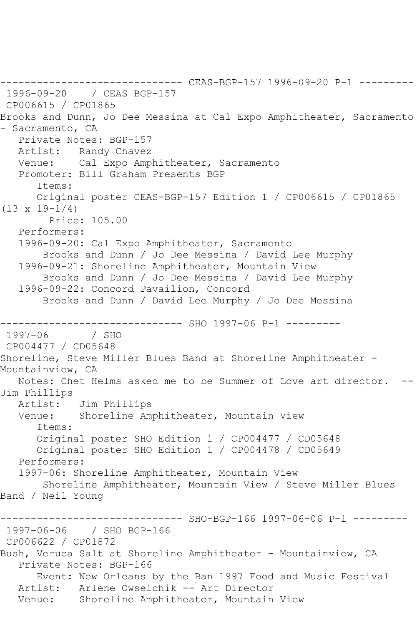------------------------------ CEAS-BGP-157 1996-09-20 P-1 --------- 1996-09-20 / CEAS BGP-157 CP006615 / CP01865 Brooks and Dunn, Jo Dee Messina at Cal Expo Amphitheater, Sacramento - Sacramento, CA Private Notes: BGP-157 Artist: Randy Chavez Venue: Cal Expo Amphitheater, Sacramento Promoter: Bill Graham Presents BGP Items: Original poster CEAS-BGP-157 Edition 1 / CP006615 / CP01865 (13 x 19-1/4) Price: 105.00 Performers: 1996-09-20: Cal Expo Amphitheater, Sacramento Brooks and Dunn / Jo Dee Messina / David Lee Murphy 1996-09-21: Shoreline Amphitheater, Mountain View Brooks and Dunn / Jo Dee Messina / David Lee Murphy 1996-09-22: Concord Pavailion, Concord Brooks and Dunn / David Lee Murphy / Jo Dee Messina ------------------------------ SHO 1997-06 P-1 --------- 1997-06 CP004477 / CD05648 Shoreline, Steve Miller Blues Band at Shoreline Amphitheater - Mountainview, CA Notes: Chet Helms asked me to be Summer of Love art director. Jim Phillips Artist: Jim Phillips Venue: Shoreline Amphitheater, Mountain View Items: Original poster SHO Edition 1 / CP004477 / CD05648 Original poster SHO Edition 1 / CP004478 / CD05649 Performers: 1997-06: Shoreline Amphitheater, Mountain View Shoreline Amphitheater, Mountain View / Steve Miller Blues Band / Neil Young ------------------------------ SHO-BGP-166 1997-06-06 P-1 --------- 1997-06-06 / SHO BGP-166 CP006622 / CP01872 Bush, Veruca Salt at Shoreline Amphitheater - Mountainview, CA Private Notes: BGP-166 Event: New Orleans by the Ban 1997 Food and Music Festival Artist: Arlene Owseichik -- Art Director Venue: Shoreline Amphitheater, Mountain View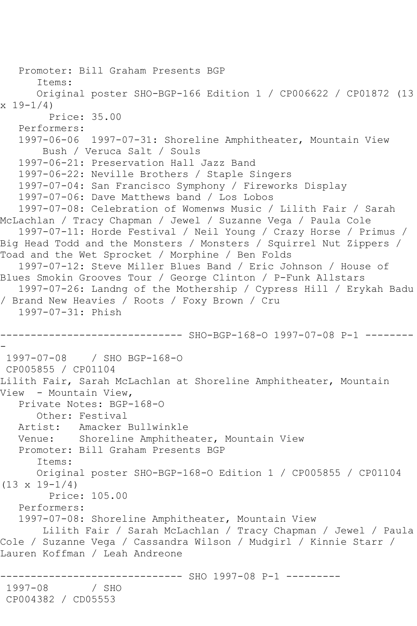```
 Promoter: Bill Graham Presents BGP
       Items:
       Original poster SHO-BGP-166 Edition 1 / CP006622 / CP01872 (13 
x 19-1/4)
         Price: 35.00
   Performers:
   1997-06-06 1997-07-31: Shoreline Amphitheater, Mountain View
        Bush / Veruca Salt / Souls
   1997-06-21: Preservation Hall Jazz Band
   1997-06-22: Neville Brothers / Staple Singers
   1997-07-04: San Francisco Symphony / Fireworks Display
   1997-07-06: Dave Matthews band / Los Lobos
   1997-07-08: Celebration of Womenws Music / Lilith Fair / Sarah 
McLachlan / Tracy Chapman / Jewel / Suzanne Vega / Paula Cole
   1997-07-11: Horde Festival / Neil Young / Crazy Horse / Primus / 
Big Head Todd and the Monsters / Monsters / Squirrel Nut Zippers / 
Toad and the Wet Sprocket / Morphine / Ben Folds
   1997-07-12: Steve Miller Blues Band / Eric Johnson / House of 
Blues Smokin Grooves Tour / George Clinton / P-Funk Allstars
   1997-07-26: Landng of the Mothership / Cypress Hill / Erykah Badu 
/ Brand New Heavies / Roots / Foxy Brown / Cru
   1997-07-31: Phish
------------------------------ SHO-BGP-168-O 1997-07-08 P-1 --------
-
1997-07-08 / SHO BGP-168-O
CP005855 / CP01104
Lilith Fair, Sarah McLachlan at Shoreline Amphitheater, Mountain 
View - Mountain View,
   Private Notes: BGP-168-O
      Other: Festival
   Artist: Amacker Bullwinkle
   Venue: Shoreline Amphitheater, Mountain View
   Promoter: Bill Graham Presents BGP
       Items:
      Original poster SHO-BGP-168-O Edition 1 / CP005855 / CP01104 
(13 \times 19 - 1/4) Price: 105.00
   Performers:
   1997-07-08: Shoreline Amphitheater, Mountain View
        Lilith Fair / Sarah McLachlan / Tracy Chapman / Jewel / Paula 
Cole / Suzanne Vega / Cassandra Wilson / Mudgirl / Kinnie Starr / 
Lauren Koffman / Leah Andreone
                    ------------------------------ SHO 1997-08 P-1 ---------
1997-08 / SHO 
CP004382 / CD05553
```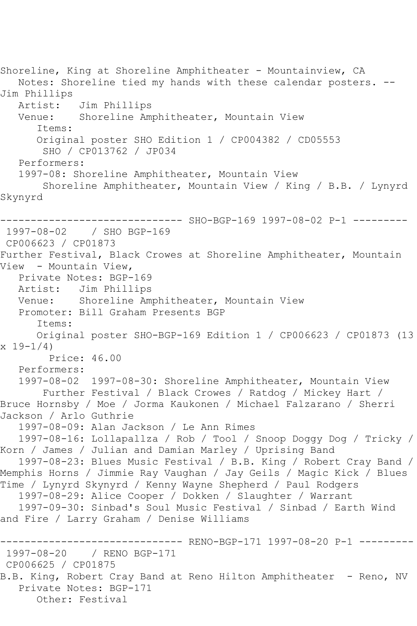Shoreline, King at Shoreline Amphitheater - Mountainview, CA Notes: Shoreline tied my hands with these calendar posters. -- Jim Phillips Artist: Jim Phillips<br>Venue: Shoreline Am Shoreline Amphitheater, Mountain View Items: Original poster SHO Edition 1 / CP004382 / CD05553 SHO / CP013762 / JP034 Performers: 1997-08: Shoreline Amphitheater, Mountain View Shoreline Amphitheater, Mountain View / King / B.B. / Lynyrd Skynyrd ------------------------------ SHO-BGP-169 1997-08-02 P-1 --------- 1997-08-02 / SHO BGP-169 CP006623 / CP01873 Further Festival, Black Crowes at Shoreline Amphitheater, Mountain View - Mountain View, Private Notes: BGP-169 Artist: Jim Phillips Venue: Shoreline Amphitheater, Mountain View Promoter: Bill Graham Presents BGP Items: Original poster SHO-BGP-169 Edition 1 / CP006623 / CP01873 (13 x 19-1/4) Price: 46.00 Performers: 1997-08-02 1997-08-30: Shoreline Amphitheater, Mountain View Further Festival / Black Crowes / Ratdog / Mickey Hart / Bruce Hornsby / Moe / Jorma Kaukonen / Michael Falzarano / Sherri Jackson / Arlo Guthrie 1997-08-09: Alan Jackson / Le Ann Rimes 1997-08-16: Lollapallza / Rob / Tool / Snoop Doggy Dog / Tricky / Korn / James / Julian and Damian Marley / Uprising Band 1997-08-23: Blues Music Festival / B.B. King / Robert Cray Band / Memphis Horns / Jimmie Ray Vaughan / Jay Geils / Magic Kick / Blues Time / Lynyrd Skynyrd / Kenny Wayne Shepherd / Paul Rodgers 1997-08-29: Alice Cooper / Dokken / Slaughter / Warrant 1997-09-30: Sinbad's Soul Music Festival / Sinbad / Earth Wind and Fire / Larry Graham / Denise Williams ------------------------------ RENO-BGP-171 1997-08-20 P-1 --------- 1997-08-20 / RENO BGP-171 CP006625 / CP01875 B.B. King, Robert Cray Band at Reno Hilton Amphitheater - Reno, NV Private Notes: BGP-171

Other: Festival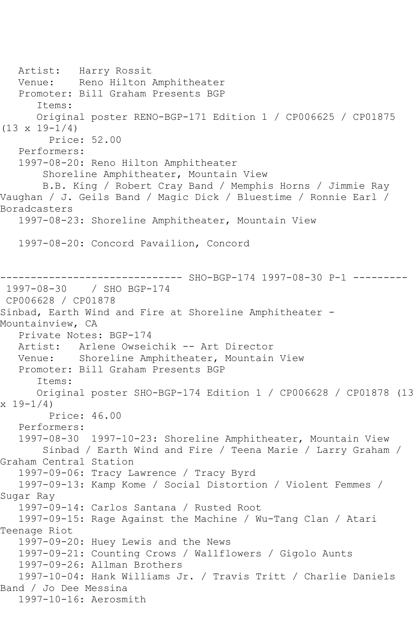Artist: Harry Rossit Venue: Reno Hilton Amphitheater Promoter: Bill Graham Presents BGP Items: Original poster RENO-BGP-171 Edition 1 / CP006625 / CP01875  $(13 \times 19 - 1/4)$  Price: 52.00 Performers: 1997-08-20: Reno Hilton Amphitheater Shoreline Amphitheater, Mountain View B.B. King / Robert Cray Band / Memphis Horns / Jimmie Ray Vaughan / J. Geils Band / Magic Dick / Bluestime / Ronnie Earl / Boradcasters 1997-08-23: Shoreline Amphitheater, Mountain View 1997-08-20: Concord Pavailion, Concord ------- SHO-BGP-174 1997-08-30 P-1 ---------1997-08-30 / SHO BGP-174 CP006628 / CP01878 Sinbad, Earth Wind and Fire at Shoreline Amphitheater - Mountainview, CA Private Notes: BGP-174 Artist: Arlene Owseichik -- Art Director Venue: Shoreline Amphitheater, Mountain View Promoter: Bill Graham Presents BGP Items: Original poster SHO-BGP-174 Edition 1 / CP006628 / CP01878 (13  $x 19-1/4$  Price: 46.00 Performers: 1997-08-30 1997-10-23: Shoreline Amphitheater, Mountain View Sinbad / Earth Wind and Fire / Teena Marie / Larry Graham / Graham Central Station 1997-09-06: Tracy Lawrence / Tracy Byrd 1997-09-13: Kamp Kome / Social Distortion / Violent Femmes / Sugar Ray 1997-09-14: Carlos Santana / Rusted Root 1997-09-15: Rage Against the Machine / Wu-Tang Clan / Atari Teenage Riot 1997-09-20: Huey Lewis and the News 1997-09-21: Counting Crows / Wallflowers / Gigolo Aunts 1997-09-26: Allman Brothers 1997-10-04: Hank Williams Jr. / Travis Tritt / Charlie Daniels Band / Jo Dee Messina 1997-10-16: Aerosmith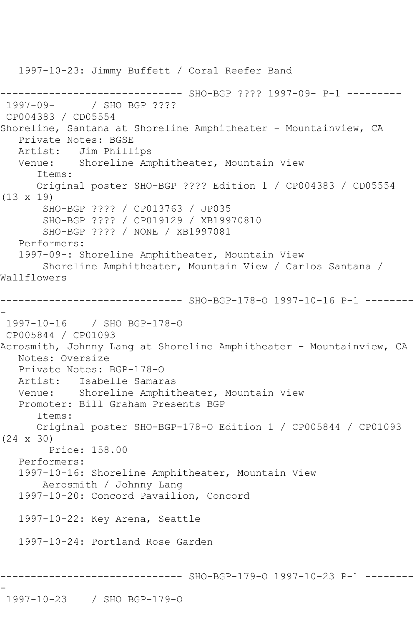1997-10-23: Jimmy Buffett / Coral Reefer Band ------------------------------ SHO-BGP ???? 1997-09- P-1 --------- 1997-09- / SHO BGP ???? CP004383 / CD05554 Shoreline, Santana at Shoreline Amphitheater - Mountainview, CA Private Notes: BGSE Artist: Jim Phillips Venue: Shoreline Amphitheater, Mountain View Items: Original poster SHO-BGP ???? Edition 1 / CP004383 / CD05554 (13 x 19) SHO-BGP ???? / CP013763 / JP035 SHO-BGP ???? / CP019129 / XB19970810 SHO-BGP ???? / NONE / XB1997081 Performers: 1997-09-: Shoreline Amphitheater, Mountain View Shoreline Amphitheater, Mountain View / Carlos Santana / Wallflowers ------------------------------ SHO-BGP-178-O 1997-10-16 P-1 -------- - 1997-10-16 / SHO BGP-178-O CP005844 / CP01093 Aerosmith, Johnny Lang at Shoreline Amphitheater - Mountainview, CA Notes: Oversize Private Notes: BGP-178-O Artist: Isabelle Samaras Venue: Shoreline Amphitheater, Mountain View Promoter: Bill Graham Presents BGP Items: Original poster SHO-BGP-178-O Edition 1 / CP005844 / CP01093 (24 x 30) Price: 158.00 Performers: 1997-10-16: Shoreline Amphitheater, Mountain View Aerosmith / Johnny Lang 1997-10-20: Concord Pavailion, Concord 1997-10-22: Key Arena, Seattle 1997-10-24: Portland Rose Garden ------------------------------ SHO-BGP-179-O 1997-10-23 P-1 -------- -

```
1997-10-23 / SHO BGP-179-O
```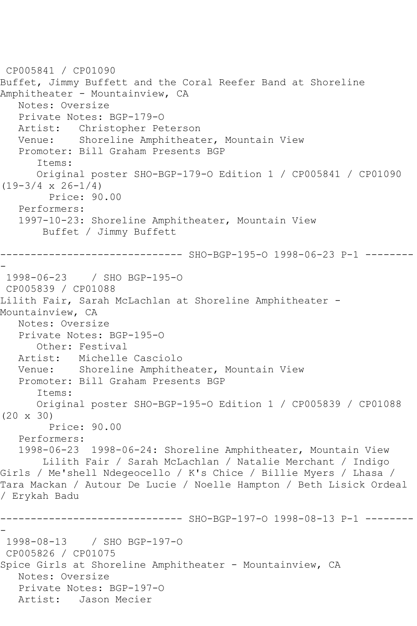```
CP005841 / CP01090
Buffet, Jimmy Buffett and the Coral Reefer Band at Shoreline 
Amphitheater - Mountainview, CA
   Notes: Oversize
   Private Notes: BGP-179-O
   Artist: Christopher Peterson
   Venue: Shoreline Amphitheater, Mountain View
   Promoter: Bill Graham Presents BGP
       Items:
      Original poster SHO-BGP-179-O Edition 1 / CP005841 / CP01090 
(19-3/4 \times 26-1/4) Price: 90.00
   Performers:
   1997-10-23: Shoreline Amphitheater, Mountain View
        Buffet / Jimmy Buffett
            ------------------------------ SHO-BGP-195-O 1998-06-23 P-1 --------
-
1998-06-23 / SHO BGP-195-O
CP005839 / CP01088
Lilith Fair, Sarah McLachlan at Shoreline Amphitheater -
Mountainview, CA
   Notes: Oversize
   Private Notes: BGP-195-O
      Other: Festival
   Artist: Michelle Casciolo
   Venue: Shoreline Amphitheater, Mountain View
   Promoter: Bill Graham Presents BGP
       Items:
      Original poster SHO-BGP-195-O Edition 1 / CP005839 / CP01088 
(20 x 30)
        Price: 90.00
   Performers:
   1998-06-23 1998-06-24: Shoreline Amphitheater, Mountain View
        Lilith Fair / Sarah McLachlan / Natalie Merchant / Indigo 
Girls / Me'shell Ndegeocello / K's Chice / Billie Myers / Lhasa / 
Tara Mackan / Autour De Lucie / Noelle Hampton / Beth Lisick Ordeal 
/ Erykah Badu
------------------------------ SHO-BGP-197-O 1998-08-13 P-1 --------
-
1998-08-13 / SHO BGP-197-O
CP005826 / CP01075
Spice Girls at Shoreline Amphitheater - Mountainview, CA
   Notes: Oversize
   Private Notes: BGP-197-O
   Artist: Jason Mecier
```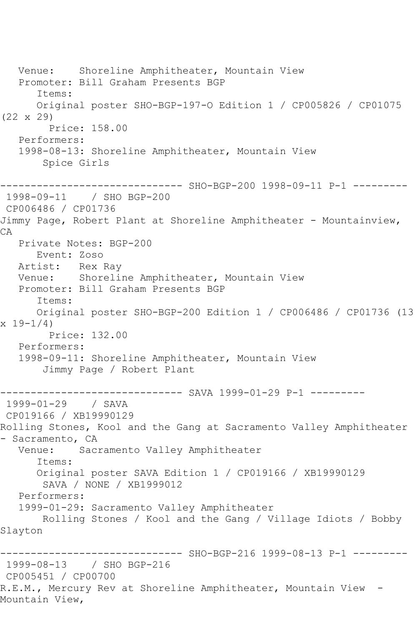Venue: Shoreline Amphitheater, Mountain View Promoter: Bill Graham Presents BGP Items: Original poster SHO-BGP-197-O Edition 1 / CP005826 / CP01075 (22 x 29) Price: 158.00 Performers: 1998-08-13: Shoreline Amphitheater, Mountain View Spice Girls ------------------------------ SHO-BGP-200 1998-09-11 P-1 --------- 1998-09-11 / SHO BGP-200 CP006486 / CP01736 Jimmy Page, Robert Plant at Shoreline Amphitheater - Mountainview, CA Private Notes: BGP-200 Event: Zoso Artist: Rex Ray Venue: Shoreline Amphitheater, Mountain View Promoter: Bill Graham Presents BGP Items: Original poster SHO-BGP-200 Edition 1 / CP006486 / CP01736 (13  $x 19-1/4$  Price: 132.00 Performers: 1998-09-11: Shoreline Amphitheater, Mountain View Jimmy Page / Robert Plant -------------- SAVA 1999-01-29 P-1 ---------1999-01-29 / SAVA CP019166 / XB19990129 Rolling Stones, Kool and the Gang at Sacramento Valley Amphitheater - Sacramento, CA<br>Venue: Sac Sacramento Valley Amphitheater Items: Original poster SAVA Edition 1 / CP019166 / XB19990129 SAVA / NONE / XB1999012 Performers: 1999-01-29: Sacramento Valley Amphitheater Rolling Stones / Kool and the Gang / Village Idiots / Bobby Slayton ------------------------------ SHO-BGP-216 1999-08-13 P-1 --------- 1999-08-13 / SHO BGP-216 CP005451 / CP00700 R.E.M., Mercury Rev at Shoreline Amphitheater, Mountain View - Mountain View,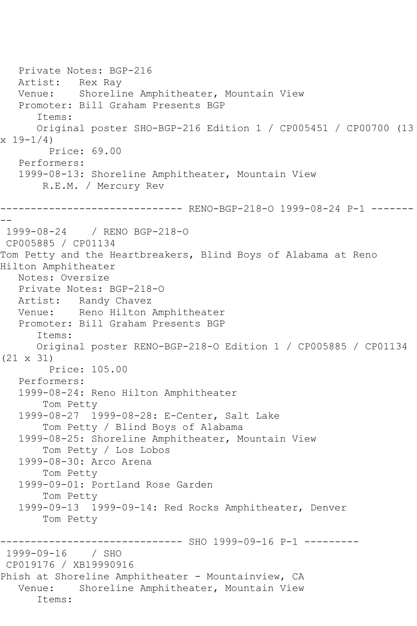Private Notes: BGP-216 Artist: Rex Ray Venue: Shoreline Amphitheater, Mountain View Promoter: Bill Graham Presents BGP Items: Original poster SHO-BGP-216 Edition 1 / CP005451 / CP00700 (13  $x 19-1/4$  Price: 69.00 Performers: 1999-08-13: Shoreline Amphitheater, Mountain View R.E.M. / Mercury Rev ------------------------------ RENO-BGP-218-O 1999-08-24 P-1 ------- -- 1999-08-24 / RENO BGP-218-O CP005885 / CP01134 Tom Petty and the Heartbreakers, Blind Boys of Alabama at Reno Hilton Amphitheater Notes: Oversize Private Notes: BGP-218-O Artist: Randy Chavez Venue: Reno Hilton Amphitheater Promoter: Bill Graham Presents BGP Items: Original poster RENO-BGP-218-O Edition 1 / CP005885 / CP01134 (21 x 31) Price: 105.00 Performers: 1999-08-24: Reno Hilton Amphitheater Tom Petty 1999-08-27 1999-08-28: E-Center, Salt Lake Tom Petty / Blind Boys of Alabama 1999-08-25: Shoreline Amphitheater, Mountain View Tom Petty / Los Lobos 1999-08-30: Arco Arena Tom Petty 1999-09-01: Portland Rose Garden Tom Petty 1999-09-13 1999-09-14: Red Rocks Amphitheater, Denver Tom Petty --------- SHO 1999-09-16 P-1 ---------1999-09-16 / SHO CP019176 / XB19990916 Phish at Shoreline Amphitheater - Mountainview, CA Venue: Shoreline Amphitheater, Mountain View Items: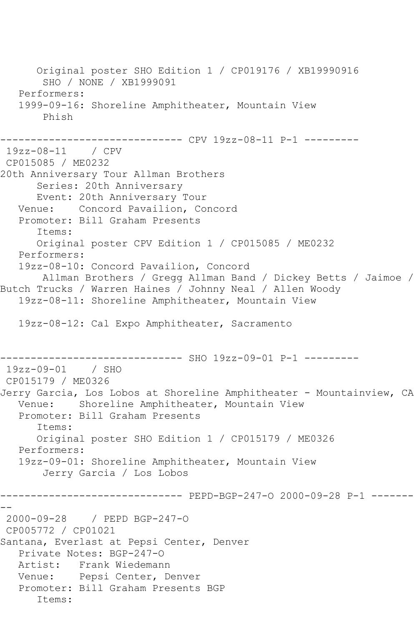Original poster SHO Edition 1 / CP019176 / XB19990916 SHO / NONE / XB1999091 Performers: 1999-09-16: Shoreline Amphitheater, Mountain View Phish ------------------------------ CPV 19zz-08-11 P-1 --------- 19zz-08-11 / CPV CP015085 / ME0232 20th Anniversary Tour Allman Brothers Series: 20th Anniversary Event: 20th Anniversary Tour Venue: Concord Pavailion, Concord Promoter: Bill Graham Presents Items: Original poster CPV Edition 1 / CP015085 / ME0232 Performers: 19zz-08-10: Concord Pavailion, Concord Allman Brothers / Gregg Allman Band / Dickey Betts / Jaimoe / Butch Trucks / Warren Haines / Johnny Neal / Allen Woody 19zz-08-11: Shoreline Amphitheater, Mountain View 19zz-08-12: Cal Expo Amphitheater, Sacramento ------------------------------ SHO 19zz-09-01 P-1 --------- 19zz-09-01 / SHO CP015179 / ME0326 Jerry Garcia, Los Lobos at Shoreline Amphitheater - Mountainview, CA Venue: Shoreline Amphitheater, Mountain View Promoter: Bill Graham Presents Items: Original poster SHO Edition 1 / CP015179 / ME0326 Performers: 19zz-09-01: Shoreline Amphitheater, Mountain View Jerry Garcia / Los Lobos ------------------------------ PEPD-BGP-247-O 2000-09-28 P-1 ------- -- 2000-09-28 / PEPD BGP-247-O CP005772 / CP01021 Santana, Everlast at Pepsi Center, Denver Private Notes: BGP-247-O Artist: Frank Wiedemann Venue: Pepsi Center, Denver Promoter: Bill Graham Presents BGP Items: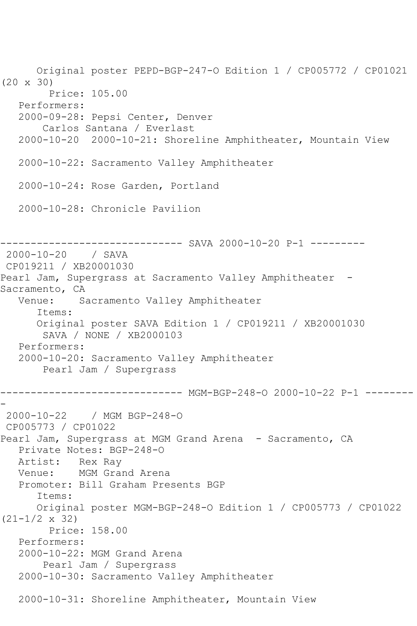Original poster PEPD-BGP-247-O Edition 1 / CP005772 / CP01021 (20 x 30) Price: 105.00 Performers: 2000-09-28: Pepsi Center, Denver Carlos Santana / Everlast 2000-10-20 2000-10-21: Shoreline Amphitheater, Mountain View 2000-10-22: Sacramento Valley Amphitheater 2000-10-24: Rose Garden, Portland 2000-10-28: Chronicle Pavilion ---------- SAVA 2000-10-20 P-1 ---------2000-10-20 / SAVA CP019211 / XB20001030 Pearl Jam, Supergrass at Sacramento Valley Amphitheater -Sacramento, CA Venue: Sacramento Valley Amphitheater Items: Original poster SAVA Edition 1 / CP019211 / XB20001030 SAVA / NONE / XB2000103 Performers: 2000-10-20: Sacramento Valley Amphitheater Pearl Jam / Supergrass ------------------------------ MGM-BGP-248-O 2000-10-22 P-1 -------- - 2000-10-22 / MGM BGP-248-O CP005773 / CP01022 Pearl Jam, Supergrass at MGM Grand Arena - Sacramento, CA Private Notes: BGP-248-O Artist: Rex Ray Venue: MGM Grand Arena Promoter: Bill Graham Presents BGP Items: Original poster MGM-BGP-248-O Edition 1 / CP005773 / CP01022 (21-1/2 x 32) Price: 158.00 Performers: 2000-10-22: MGM Grand Arena Pearl Jam / Supergrass 2000-10-30: Sacramento Valley Amphitheater 2000-10-31: Shoreline Amphitheater, Mountain View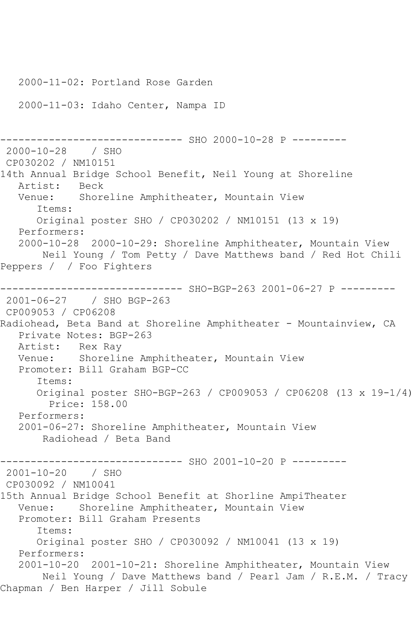```
 2000-11-02: Portland Rose Garden
    2000-11-03: Idaho Center, Nampa ID
------------------------------ SHO 2000-10-28 P ---------
2000-10-28 / SHO 
CP030202 / NM10151
14th Annual Bridge School Benefit, Neil Young at Shoreline<br>Artist: Beck
  Artist:<br>Venue:
            Shoreline Amphitheater, Mountain View
       Items:
       Original poster SHO / CP030202 / NM10151 (13 x 19)
   Performers:
    2000-10-28 2000-10-29: Shoreline Amphitheater, Mountain View
        Neil Young / Tom Petty / Dave Matthews band / Red Hot Chili 
Peppers / / Foo Fighters
------------------------------ SHO-BGP-263 2001-06-27 P ---------
2001-06-27 / SHO BGP-263
CP009053 / CP06208
Radiohead, Beta Band at Shoreline Amphitheater - Mountainview, CA
    Private Notes: BGP-263
  Artist: Rex Ray<br>Venue: Shoreli
            Shoreline Amphitheater, Mountain View
   Promoter: Bill Graham BGP-CC
       Items:
       Original poster SHO-BGP-263 / CP009053 / CP06208 (13 x 19-1/4)
         Price: 158.00
   Performers:
   2001-06-27: Shoreline Amphitheater, Mountain View
        Radiohead / Beta Band
                     ---------- SHO 2001-10-20 P ---------
2001-10-20 / SHO 
CP030092 / NM10041
15th Annual Bridge School Benefit at Shorline AmpiTheater
   Venue: Shoreline Amphitheater, Mountain View
    Promoter: Bill Graham Presents
       Items:
       Original poster SHO / CP030092 / NM10041 (13 x 19)
   Performers:
    2001-10-20 2001-10-21: Shoreline Amphitheater, Mountain View
        Neil Young / Dave Matthews band / Pearl Jam / R.E.M. / Tracy 
Chapman / Ben Harper / Jill Sobule
```